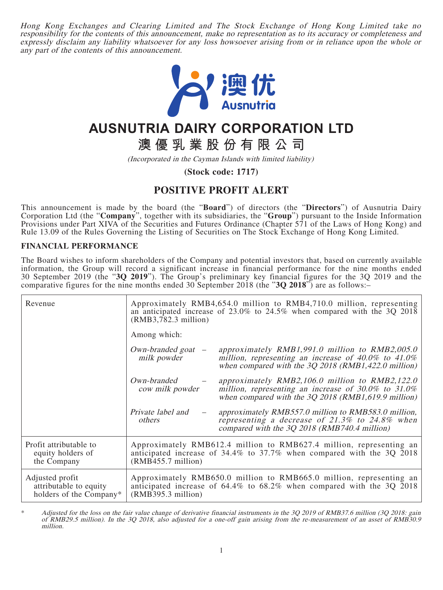Hong Kong Exchanges and Clearing Limited and The Stock Exchange of Hong Kong Limited take no responsibility for the contents of this announcement, make no representation as to its accuracy or completeness and expressly disclaim any liability whatsoever for any loss howsoever arising from or in reliance upon the whole or any part of the contents of this announcement.



## **AUSNUTRIA DAIRY CORPORATION LTD**

**澳優乳業股份有限公司**

(Incorporated in the Cayman Islands with limited liability)

**(Stock code: 1717)**

## **POSITIVE PROFIT ALERT**

This announcement is made by the board (the "**Board**") of directors (the "**Directors**") of Ausnutria Dairy Corporation Ltd (the "**Company**", together with its subsidiaries, the "**Group**") pursuant to the Inside Information Provisions under Part XIVA of the Securities and Futures Ordinance (Chapter 571 of the Laws of Hong Kong) and Rule 13.09 of the Rules Governing the Listing of Securities on The Stock Exchange of Hong Kong Limited.

## **FINANCIAL PERFORMANCE**

The Board wishes to inform shareholders of the Company and potential investors that, based on currently available information, the Group will record a significant increase in financial performance for the nine months ended 30 September 2019 (the "**3Q 2019**"). The Group's preliminary key financial figures for the 3Q 2019 and the comparative figures for the nine months ended 30 September 2018 (the "**3Q 2018**") are as follows:–

| Revenue                                                              | $(RMB3,782.3$ million)                                                                                                                                             | Approximately RMB4,654.0 million to RMB4,710.0 million, representing<br>an anticipated increase of $23.0\%$ to $24.5\%$ when compared with the 3Q 2018                   |
|----------------------------------------------------------------------|--------------------------------------------------------------------------------------------------------------------------------------------------------------------|--------------------------------------------------------------------------------------------------------------------------------------------------------------------------|
|                                                                      | Among which:                                                                                                                                                       |                                                                                                                                                                          |
|                                                                      | $Own\text{-}branded goat$ –<br>milk powder                                                                                                                         | approximately $RMB1,991.0$ million to $RMB2,005.0$<br>million, representing an increase of $40.0\%$ to $41.0\%$<br>when compared with the $3Q$ 2018 (RMB1,422.0 million) |
|                                                                      | Own-branded<br>cow milk powder                                                                                                                                     | approximately $RMB2,106.0$ million to $RMB2,122.0$<br>million, representing an increase of $30.0\%$ to $31.0\%$<br>when compared with the $3Q$ 2018 (RMB1,619.9 million) |
|                                                                      | Private label and<br>others                                                                                                                                        | approximately RMB557.0 million to RMB583.0 million,<br>representing a decrease of 21.3% to 24.8% when<br>compared with the 3Q 2018 (RMB740.4 million)                    |
| Profit attributable to<br>equity holders of<br>the Company           | Approximately RMB612.4 million to RMB627.4 million, representing an<br>anticipated increase of 34.4% to 37.7% when compared with the 3Q 2018<br>(RMB455.7 million) |                                                                                                                                                                          |
| Adjusted profit<br>attributable to equity<br>holders of the Company* | Approximately RMB650.0 million to RMB665.0 million, representing an<br>anticipated increase of 64.4% to 68.2% when compared with the 3Q 2018<br>(RMB395.3 million) |                                                                                                                                                                          |

Adjusted for the loss on the fair value change of derivative financial instruments in the 3Q 2019 of RMB37.6 million (3Q 2018: gain of RMB29.5 million). In the 3Q 2018, also adjusted for a one-off gain arising from the re-measurement of an asset of RMB30.9 million.